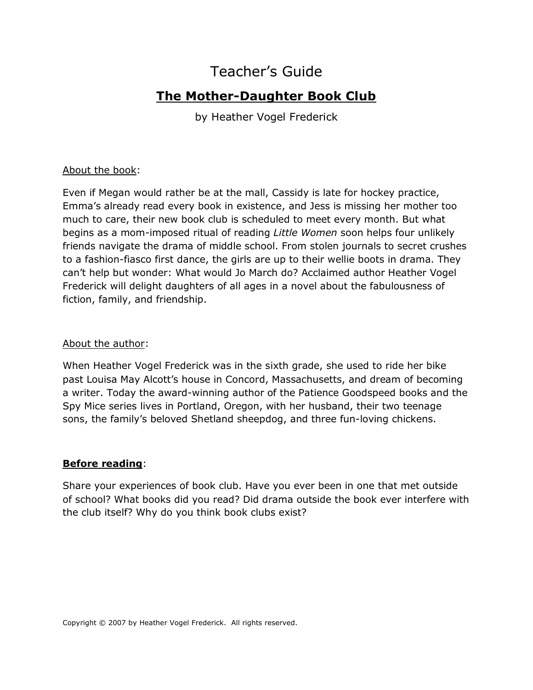# Teacher's Guide

## **The Mother-Daughter Book Club**

by Heather Vogel Frederick

#### About the book:

Even if Megan would rather be at the mall, Cassidy is late for hockey practice, Emma's already read every book in existence, and Jess is missing her mother too much to care, their new book club is scheduled to meet every month. But what begins as a mom-imposed ritual of reading *Little Women* soon helps four unlikely friends navigate the drama of middle school. From stolen journals to secret crushes to a fashion-fiasco first dance, the girls are up to their wellie boots in drama. They can't help but wonder: What would Jo March do? Acclaimed author Heather Vogel Frederick will delight daughters of all ages in a novel about the fabulousness of fiction, family, and friendship.

#### About the author:

When Heather Vogel Frederick was in the sixth grade, she used to ride her bike past Louisa May Alcott's house in Concord, Massachusetts, and dream of becoming a writer. Today the award-winning author of the Patience Goodspeed books and the Spy Mice series lives in Portland, Oregon, with her husband, their two teenage sons, the family's beloved Shetland sheepdog, and three fun-loving chickens.

#### **Before reading**:

Share your experiences of book club. Have you ever been in one that met outside of school? What books did you read? Did drama outside the book ever interfere with the club itself? Why do you think book clubs exist?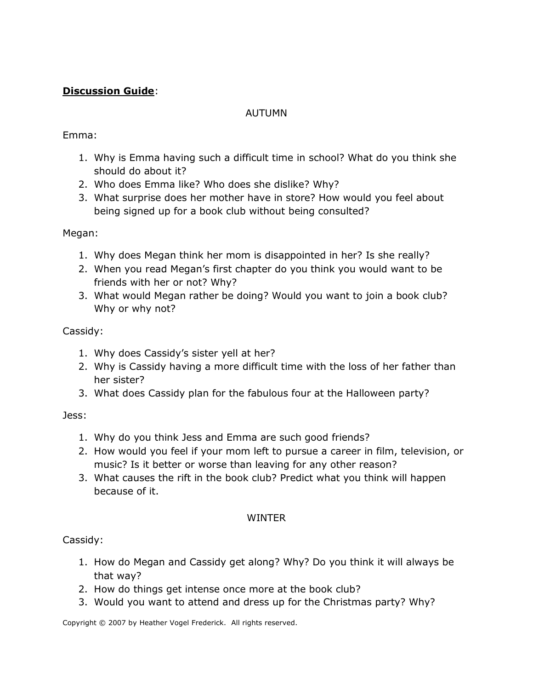### **Discussion Guide**:

#### AUTUMN

#### Emma:

- 1. Why is Emma having such a difficult time in school? What do you think she should do about it?
- 2. Who does Emma like? Who does she dislike? Why?
- 3. What surprise does her mother have in store? How would you feel about being signed up for a book club without being consulted?

#### Megan:

- 1. Why does Megan think her mom is disappointed in her? Is she really?
- 2. When you read Megan's first chapter do you think you would want to be friends with her or not? Why?
- 3. What would Megan rather be doing? Would you want to join a book club? Why or why not?

#### Cassidy:

- 1. Why does Cassidy's sister yell at her?
- 2. Why is Cassidy having a more difficult time with the loss of her father than her sister?
- 3. What does Cassidy plan for the fabulous four at the Halloween party?

#### Jess:

- 1. Why do you think Jess and Emma are such good friends?
- 2. How would you feel if your mom left to pursue a career in film, television, or music? Is it better or worse than leaving for any other reason?
- 3. What causes the rift in the book club? Predict what you think will happen because of it.

#### WINTER

#### Cassidy:

- 1. How do Megan and Cassidy get along? Why? Do you think it will always be that way?
- 2. How do things get intense once more at the book club?
- 3. Would you want to attend and dress up for the Christmas party? Why?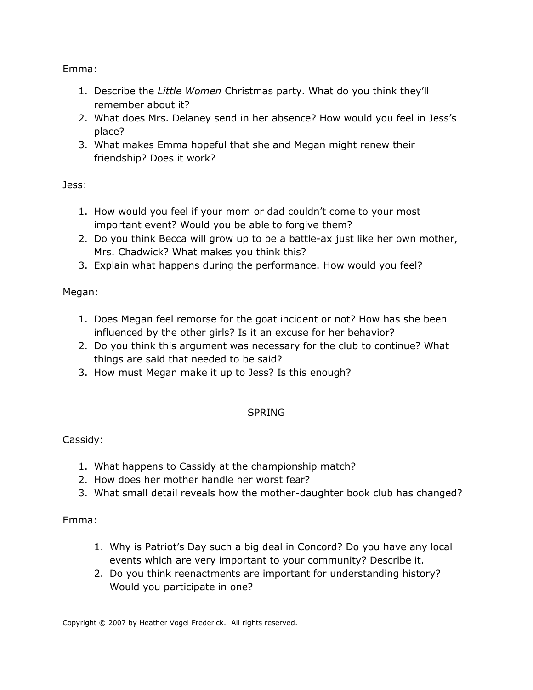Emma:

- 1. Describe the *Little Women* Christmas party. What do you think they'll remember about it?
- 2. What does Mrs. Delaney send in her absence? How would you feel in Jess's place?
- 3. What makes Emma hopeful that she and Megan might renew their friendship? Does it work?

Jess:

- 1. How would you feel if your mom or dad couldn't come to your most important event? Would you be able to forgive them?
- 2. Do you think Becca will grow up to be a battle-ax just like her own mother, Mrs. Chadwick? What makes you think this?
- 3. Explain what happens during the performance. How would you feel?

## Megan:

- 1. Does Megan feel remorse for the goat incident or not? How has she been influenced by the other girls? Is it an excuse for her behavior?
- 2. Do you think this argument was necessary for the club to continue? What things are said that needed to be said?
- 3. How must Megan make it up to Jess? Is this enough?

## SPRING

## Cassidy:

- 1. What happens to Cassidy at the championship match?
- 2. How does her mother handle her worst fear?
- 3. What small detail reveals how the mother-daughter book club has changed?

## Emma:

- 1. Why is Patriot's Day such a big deal in Concord? Do you have any local events which are very important to your community? Describe it.
- 2. Do you think reenactments are important for understanding history? Would you participate in one?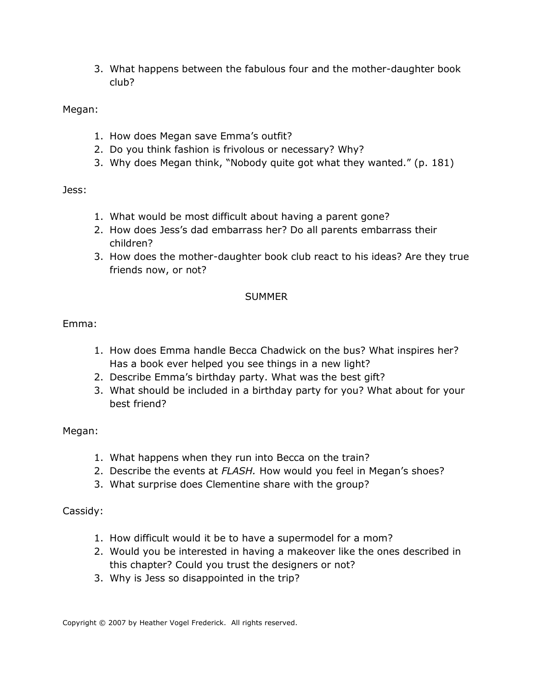3. What happens between the fabulous four and the mother-daughter book club?

Megan:

- 1. How does Megan save Emma's outfit?
- 2. Do you think fashion is frivolous or necessary? Why?
- 3. Why does Megan think, "Nobody quite got what they wanted." (p. 181)

Jess:

- 1. What would be most difficult about having a parent gone?
- 2. How does Jess's dad embarrass her? Do all parents embarrass their children?
- 3. How does the mother-daughter book club react to his ideas? Are they true friends now, or not?

#### **SUMMER**

Emma:

- 1. How does Emma handle Becca Chadwick on the bus? What inspires her? Has a book ever helped you see things in a new light?
- 2. Describe Emma's birthday party. What was the best gift?
- 3. What should be included in a birthday party for you? What about for your best friend?

Megan:

- 1. What happens when they run into Becca on the train?
- 2. Describe the events at *FLASH.* How would you feel in Megan's shoes?
- 3. What surprise does Clementine share with the group?

Cassidy:

- 1. How difficult would it be to have a supermodel for a mom?
- 2. Would you be interested in having a makeover like the ones described in this chapter? Could you trust the designers or not?
- 3. Why is Jess so disappointed in the trip?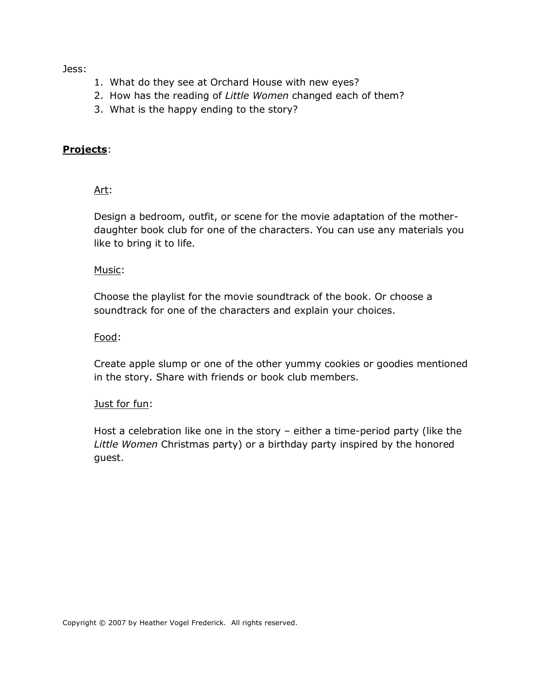Jess:

- 1. What do they see at Orchard House with new eyes?
- 2. How has the reading of *Little Women* changed each of them?
- 3. What is the happy ending to the story?

#### **Projects**:

Art:

Design a bedroom, outfit, or scene for the movie adaptation of the motherdaughter book club for one of the characters. You can use any materials you like to bring it to life.

Music:

Choose the playlist for the movie soundtrack of the book. Or choose a soundtrack for one of the characters and explain your choices.

Food:

Create apple slump or one of the other yummy cookies or goodies mentioned in the story. Share with friends or book club members.

#### Just for fun:

Host a celebration like one in the story – either a time-period party (like the *Little Women* Christmas party) or a birthday party inspired by the honored guest.